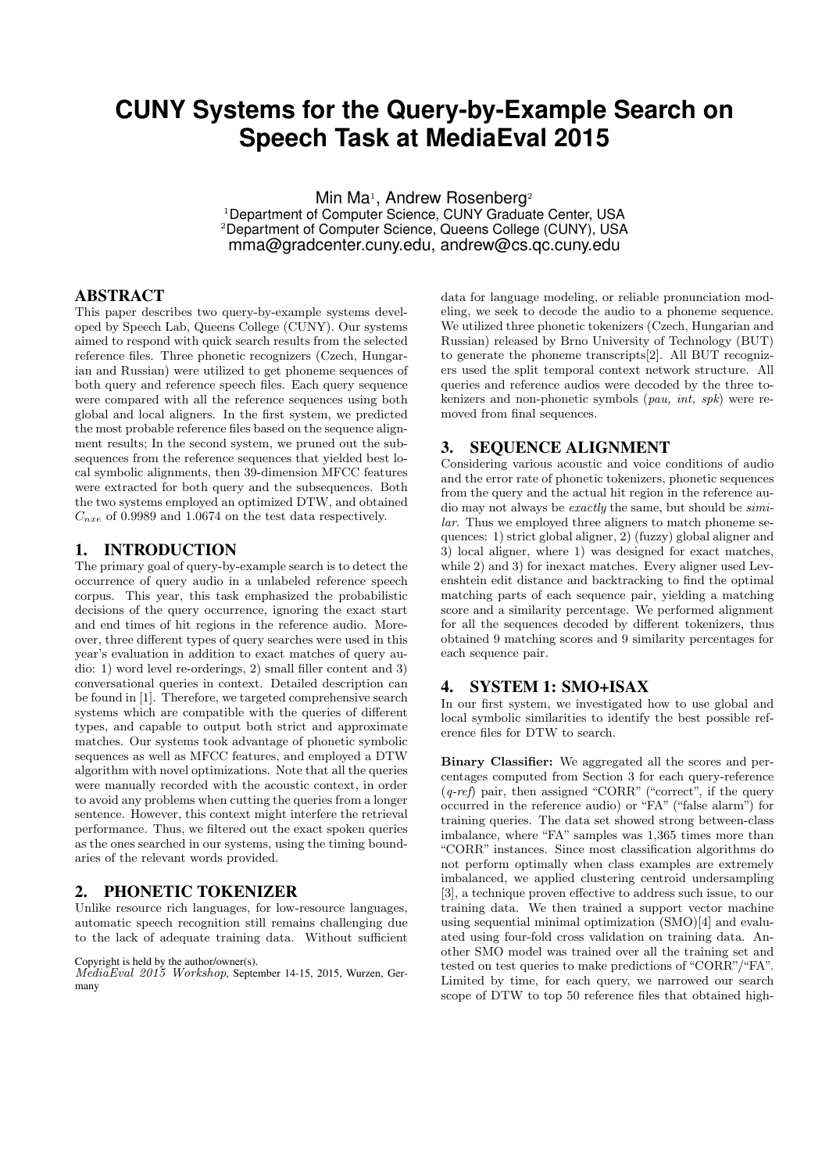# **CUNY Systems for the Query-by-Example Search on Speech Task at MediaEval 2015**

Min Ma<sup>1</sup>, Andrew Rosenberg<sup>2</sup> <sup>1</sup> Department of Computer Science, CUNY Graduate Center, USA <sup>2</sup>Department of Computer Science, Queens College (CUNY), USA mma@gradcenter.cuny.edu, andrew@cs.qc.cuny.edu

## ABSTRACT

This paper describes two query-by-example systems developed by Speech Lab, Queens College (CUNY). Our systems aimed to respond with quick search results from the selected reference files. Three phonetic recognizers (Czech, Hungarian and Russian) were utilized to get phoneme sequences of both query and reference speech files. Each query sequence were compared with all the reference sequences using both global and local aligners. In the first system, we predicted the most probable reference files based on the sequence alignment results; In the second system, we pruned out the subsequences from the reference sequences that yielded best local symbolic alignments, then 39-dimension MFCC features were extracted for both query and the subsequences. Both the two systems employed an optimized DTW, and obtained  $C_{nxe}$  of 0.9989 and 1.0674 on the test data respectively.

#### 1. INTRODUCTION

The primary goal of query-by-example search is to detect the occurrence of query audio in a unlabeled reference speech corpus. This year, this task emphasized the probabilistic decisions of the query occurrence, ignoring the exact start and end times of hit regions in the reference audio. Moreover, three different types of query searches were used in this year's evaluation in addition to exact matches of query audio: 1) word level re-orderings, 2) small filler content and 3) conversational queries in context. Detailed description can be found in [1]. Therefore, we targeted comprehensive search systems which are compatible with the queries of different types, and capable to output both strict and approximate matches. Our systems took advantage of phonetic symbolic sequences as well as MFCC features, and employed a DTW algorithm with novel optimizations. Note that all the queries were manually recorded with the acoustic context, in order to avoid any problems when cutting the queries from a longer sentence. However, this context might interfere the retrieval performance. Thus, we filtered out the exact spoken queries as the ones searched in our systems, using the timing boundaries of the relevant words provided.

## 2. PHONETIC TOKENIZER

Unlike resource rich languages, for low-resource languages, automatic speech recognition still remains challenging due to the lack of adequate training data. Without sufficient

#### Copyright is held by the author/owner(s).

MediaEval 2015 Workshop, September 14-15, 2015, Wurzen, Germany

data for language modeling, or reliable pronunciation modeling, we seek to decode the audio to a phoneme sequence. We utilized three phonetic tokenizers (Czech, Hungarian and Russian) released by Brno University of Technology (BUT) to generate the phoneme transcripts[2]. All BUT recognizers used the split temporal context network structure. All queries and reference audios were decoded by the three tokenizers and non-phonetic symbols (pau, int, spk) were removed from final sequences.

#### 3. SEQUENCE ALIGNMENT

Considering various acoustic and voice conditions of audio and the error rate of phonetic tokenizers, phonetic sequences from the query and the actual hit region in the reference audio may not always be exactly the same, but should be similar. Thus we employed three aligners to match phoneme sequences: 1) strict global aligner, 2) (fuzzy) global aligner and 3) local aligner, where 1) was designed for exact matches, while 2) and 3) for inexact matches. Every aligner used Levenshtein edit distance and backtracking to find the optimal matching parts of each sequence pair, yielding a matching score and a similarity percentage. We performed alignment for all the sequences decoded by different tokenizers, thus obtained 9 matching scores and 9 similarity percentages for each sequence pair.

#### 4. SYSTEM 1: SMO+ISAX

In our first system, we investigated how to use global and local symbolic similarities to identify the best possible reference files for DTW to search.

Binary Classifier: We aggregated all the scores and percentages computed from Section 3 for each query-reference  $(q$ -ref) pair, then assigned "CORR" ("correct", if the query occurred in the reference audio) or "FA" ("false alarm") for training queries. The data set showed strong between-class imbalance, where "FA" samples was 1,365 times more than "CORR" instances. Since most classification algorithms do not perform optimally when class examples are extremely imbalanced, we applied clustering centroid undersampling [3], a technique proven effective to address such issue, to our training data. We then trained a support vector machine using sequential minimal optimization (SMO)[4] and evaluated using four-fold cross validation on training data. Another SMO model was trained over all the training set and tested on test queries to make predictions of "CORR"/"FA". Limited by time, for each query, we narrowed our search scope of DTW to top 50 reference files that obtained high-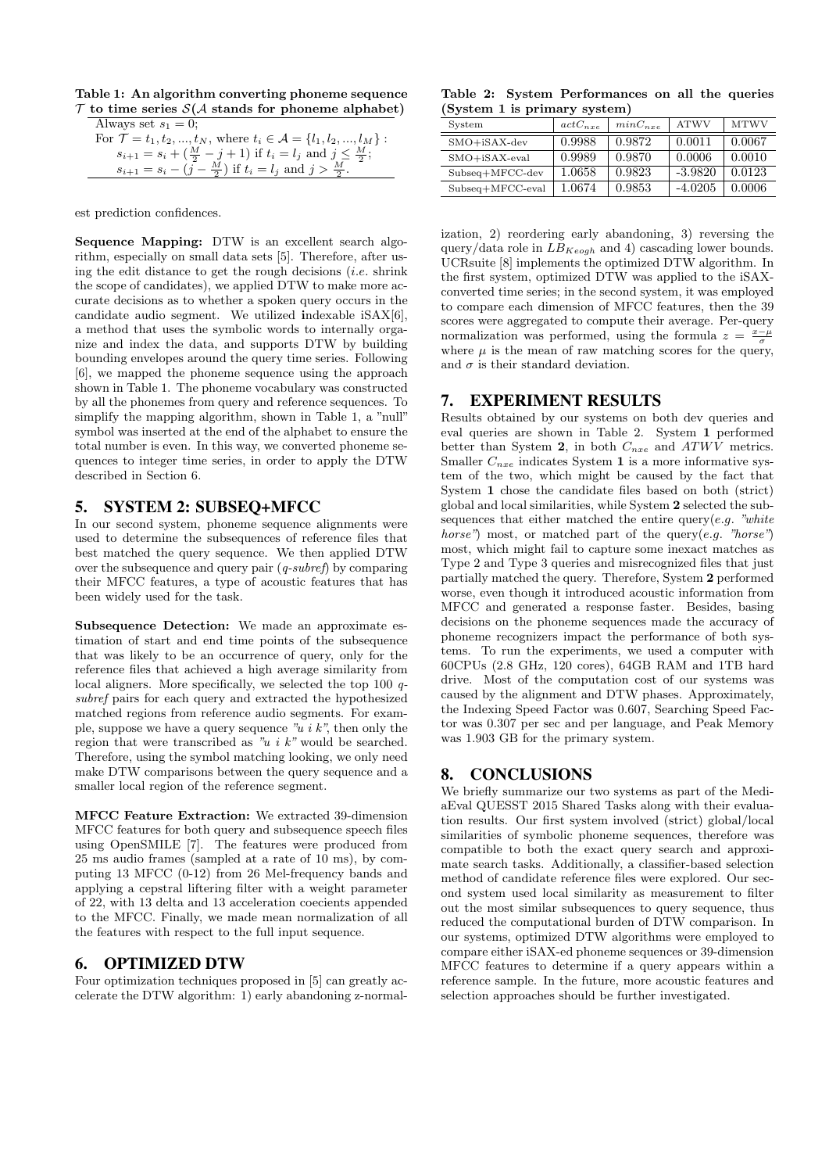Table 1: An algorithm converting phoneme sequence  $\mathcal T$  to time series  $\mathcal S(\mathcal A)$  stands for phoneme alphabet)

| Always set $s_1 = 0$ ;                                                                    |
|-------------------------------------------------------------------------------------------|
| For $\mathcal{T} = t_1, t_2, , t_N$ , where $t_i \in \mathcal{A} = \{l_1, l_2, , l_M\}$ : |
| $s_{i+1} = s_i + (\frac{M}{2} - j + 1)$ if $t_i = l_j$ and $j \leq \frac{M}{2}$ ;         |
| $s_{i+1} = s_i - (j - \frac{M}{2})$ if $t_i = l_j$ and $j > \frac{M}{2}$ .                |

est prediction confidences.

Sequence Mapping: DTW is an excellent search algorithm, especially on small data sets [5]. Therefore, after using the edit distance to get the rough decisions  $(i.e.$  shrink the scope of candidates), we applied DTW to make more accurate decisions as to whether a spoken query occurs in the candidate audio segment. We utilized indexable iSAX[6], a method that uses the symbolic words to internally organize and index the data, and supports DTW by building bounding envelopes around the query time series. Following [6], we mapped the phoneme sequence using the approach shown in Table 1. The phoneme vocabulary was constructed by all the phonemes from query and reference sequences. To simplify the mapping algorithm, shown in Table 1, a "null" symbol was inserted at the end of the alphabet to ensure the total number is even. In this way, we converted phoneme sequences to integer time series, in order to apply the DTW described in Section 6.

### 5. SYSTEM 2: SUBSEQ+MFCC

In our second system, phoneme sequence alignments were used to determine the subsequences of reference files that best matched the query sequence. We then applied DTW over the subsequence and query pair (q-subref) by comparing their MFCC features, a type of acoustic features that has been widely used for the task.

Subsequence Detection: We made an approximate estimation of start and end time points of the subsequence that was likely to be an occurrence of query, only for the reference files that achieved a high average similarity from local aligners. More specifically, we selected the top 100 qsubref pairs for each query and extracted the hypothesized matched regions from reference audio segments. For example, suppose we have a query sequence  $\overline{u}_i$  *i* k", then only the region that were transcribed as "u i k" would be searched. Therefore, using the symbol matching looking, we only need make DTW comparisons between the query sequence and a smaller local region of the reference segment.

MFCC Feature Extraction: We extracted 39-dimension MFCC features for both query and subsequence speech files using OpenSMILE [7]. The features were produced from 25 ms audio frames (sampled at a rate of 10 ms), by computing 13 MFCC (0-12) from 26 Mel-frequency bands and applying a cepstral liftering filter with a weight parameter of 22, with 13 delta and 13 acceleration coecients appended to the MFCC. Finally, we made mean normalization of all the features with respect to the full input sequence.

## 6. OPTIMIZED DTW

Four optimization techniques proposed in [5] can greatly accelerate the DTW algorithm: 1) early abandoning z-normal-

Table 2: System Performances on all the queries (System 1 is primary system)

| System             | $actC_{nxe}$ | $minC_{nre}$ | <b>ATWV</b> | <b>MTWV</b> |
|--------------------|--------------|--------------|-------------|-------------|
| $SMO+$ iSAX-dev    | 0.9988       | 0.9872       | 0.0011      | 0.0067      |
| $SMO+$ iSAX-eval   | 0.9989       | 0.9870       | 0.0006      | 0.0010      |
| $Subseq+MFCC-dev$  | 1.0658       | 0.9823       | $-3.9820$   | 0.0123      |
| $Subseq+MFCC-eval$ | 1.0674       | 0.9853       | $-4.0205$   | 0.0006      |

ization, 2) reordering early abandoning, 3) reversing the query/data role in  $LB_{Keogh}$  and 4) cascading lower bounds. UCRsuite [8] implements the optimized DTW algorithm. In the first system, optimized DTW was applied to the iSAXconverted time series; in the second system, it was employed to compare each dimension of MFCC features, then the 39 scores were aggregated to compute their average. Per-query normalization was performed, using the formula  $z = \frac{x-\mu}{\sigma}$ where  $\mu$  is the mean of raw matching scores for the query, and  $\sigma$  is their standard deviation.

## 7. EXPERIMENT RESULTS

Results obtained by our systems on both dev queries and eval queries are shown in Table 2. System 1 performed better than System 2, in both  $C_{nxe}$  and  $ATWV$  metrics. Smaller  $C_{nxe}$  indicates System 1 is a more informative system of the two, which might be caused by the fact that System 1 chose the candidate files based on both (strict) global and local similarities, while System 2 selected the subsequences that either matched the entire query $(e.g.$  "white horse") most, or matched part of the query $(e.g.$  "horse") most, which might fail to capture some inexact matches as Type 2 and Type 3 queries and misrecognized files that just partially matched the query. Therefore, System 2 performed worse, even though it introduced acoustic information from MFCC and generated a response faster. Besides, basing decisions on the phoneme sequences made the accuracy of phoneme recognizers impact the performance of both systems. To run the experiments, we used a computer with 60CPUs (2.8 GHz, 120 cores), 64GB RAM and 1TB hard drive. Most of the computation cost of our systems was caused by the alignment and DTW phases. Approximately, the Indexing Speed Factor was 0.607, Searching Speed Factor was 0.307 per sec and per language, and Peak Memory was 1.903 GB for the primary system.

## 8. CONCLUSIONS

We briefly summarize our two systems as part of the MediaEval QUESST 2015 Shared Tasks along with their evaluation results. Our first system involved (strict) global/local similarities of symbolic phoneme sequences, therefore was compatible to both the exact query search and approximate search tasks. Additionally, a classifier-based selection method of candidate reference files were explored. Our second system used local similarity as measurement to filter out the most similar subsequences to query sequence, thus reduced the computational burden of DTW comparison. In our systems, optimized DTW algorithms were employed to compare either iSAX-ed phoneme sequences or 39-dimension MFCC features to determine if a query appears within a reference sample. In the future, more acoustic features and selection approaches should be further investigated.